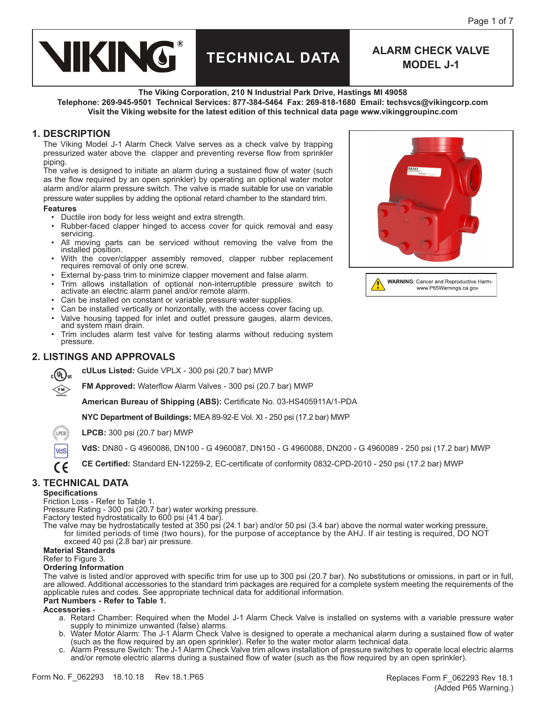

# **TECHNICAL DATA ALARM CHECK VALVE**

**MODEL J-1**

**The Viking Corporation, 210 N Industrial Park Drive, Hastings MI 49058**

**Telephone: 269-945-9501 Technical Services: 877-384-5464 Fax: 269-818-1680 Email: techsvcs@vikingcorp.com Visit the Viking website for the latest edition of this technical data page www.vikinggroupinc.com**

### **1. DESCRIPTION**

The Viking Model J-1 Alarm Check Valve serves as a check valve by trapping pressurized water above the clapper and preventing reverse flow from sprinkler piping.

The valve is designed to initiate an alarm during a sustained flow of water (such as the flow required by an open sprinkler) by operating an optional water motor alarm and/or alarm pressure switch. The valve is made suitable for use on variable pressure water supplies by adding the optional retard chamber to the standard trim.

#### **Features**

- Ductile iron body for less weight and extra strength.
- Rubber-faced clapper hinged to access cover for quick removal and easy servicing.
- All moving parts can be serviced without removing the valve from the installed position.
- With the cover/clapper assembly removed, clapper rubber replacement requires removal of only one screw.
- External by-pass trim to minimize clapper movement and false alarm.
- Trim allows installation of optional non-interruptible pressure switch to activate an electric alarm panel and/or remote alarm.
- Can be installed on constant or variable pressure water supplies.
- Can be installed vertically or horizontally, with the access cover facing up.
- Valve housing tapped for inlet and outlet pressure gauges, alarm devices, and system main drain.
- Trim includes alarm test valve for testing alarms without reducing system pressure.

### **2. LISTINGS AND APPROVALS**

**cULus Listed:** Guide VPLX - 300 psi (20.7 bar) MWP  $_{\rm c}(\Psi_{\rm L})_{\rm us}$ 

**FM Approved:** Waterflow Alarm Valves - 300 psi (20.7 bar) MWP

**American Bureau of Shipping (ABS):** Certificate No. 03-HS405911A/1-PDA

**NYC Department of Buildings:** MEA 89-92-E Vol. XI - 250 psi (17.2 bar) MWP

- ((LPCB)) **LPCB:** 300 psi (20.7 bar) MWP
	- **VdS:** DN80 G 4960086, DN100 G 4960087, DN150 G 4960088, DN200 G 4960089 250 psi (17.2 bar) MWP
	- **CE Certified:** Standard EN-12259-2, EC-certificate of conformity 0832-CPD-2010 250 psi (17.2 bar) MWP

# **3. TECHNICAL DATA**

#### **Specifications**

 $\left\langle \rm{FM}\right\rangle$ 

VdS ( F

Friction Loss - Refer to Table 1.

Pressure Rating - 300 psi (20.7 bar) water working pressure.

Factory tested hydrostatically to 600 psi (41.4 bar).

The valve may be hydrostatically tested at 350 psi (24.1 bar) and/or 50 psi (3.4 bar) above the normal water working pressure. for limited periods of time (two hours), for the purpose of acceptance by the AHJ. If air testing is required, DO NOT exceed 40 psi (2.8 bar) air pressure.

#### **Material Standards**

Refer to Figure 3.

#### **Ordering Information**

The valve is listed and/or approved with specific trim for use up to 300 psi (20.7 bar). No substitutions or omissions, in part or in full, are allowed. Additional accessories to the standard trim packages are required for a complete system meeting the requirements of the applicable rules and codes. See appropriate technical data for additional information.

#### **Part Numbers - Refer to Table 1.**

#### **Accessories** -

- a. Retard Chamber: Required when the Model J-1 Alarm Check Valve is installed on systems with a variable pressure water supply to minimize unwanted (false) alarms.
- b. Water Motor Alarm: The J-1 Alarm Check Valve is designed to operate a mechanical alarm during a sustained flow of water (such as the flow required by an open sprinkler). Refer to the water motor alarm technical data.
- c. Alarm Pressure Switch: The J-1 Alarm Check Valve trim allows installation of pressure switches to operate local electric alarms and/or remote electric alarms during a sustained flow of water (such as the flow required by an open sprinkler).



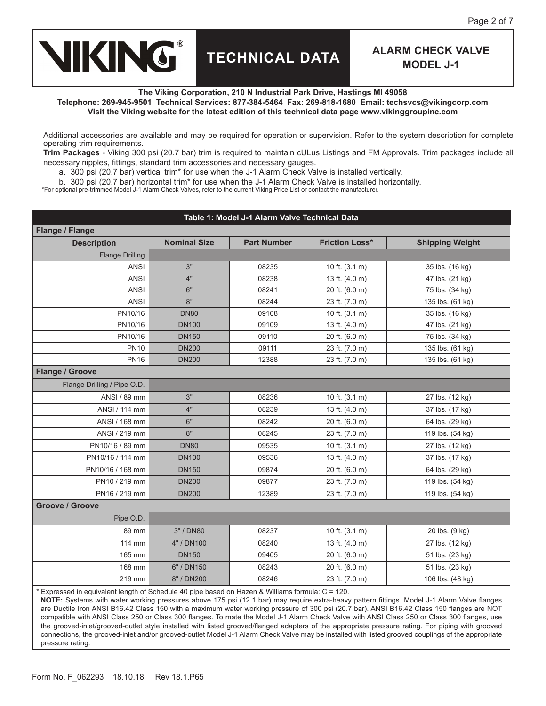

**The Viking Corporation, 210 N Industrial Park Drive, Hastings MI 49058**

**Telephone: 269-945-9501 Technical Services: 877-384-5464 Fax: 269-818-1680 Email: techsvcs@vikingcorp.com Visit the Viking website for the latest edition of this technical data page www.vikinggroupinc.com**

Additional accessories are available and may be required for operation or supervision. Refer to the system description for complete operating trim requirements.

**Trim Packages** - Viking 300 psi (20.7 bar) trim is required to maintain cULus Listings and FM Approvals. Trim packages include all necessary nipples, fittings, standard trim accessories and necessary gauges.

a. 300 psi (20.7 bar) vertical trim\* for use when the J-1 Alarm Check Valve is installed vertically.

b. 300 psi (20.7 bar) horizontal trim\* for use when the J-1 Alarm Check Valve is installed horizontally.

\*For optional pre-trimmed Model J-1 Alarm Check Valves, refer to the current Viking Price List or contact the manufacturer.

# **Table 1: Model J-1 Alarm Valve Technical Data Flange / Flange Description Nominal Size Part Number Friction Loss\* Shipping Weight** Flange Drilling ANSI 3" 08235 10 ft. (3.1 m) 35 lbs. (16 kg) ANSI 4" 08238 13 ft. (4.0 m) 47 lbs. (21 kg) ANSI 6" 08241 20 ft. (6.0 m) 75 lbs. (34 kg) ANSI 8" 08244 23 ft. (7.0 m) 135 lbs. (61 kg) PN10/16 DN80 09108 10 ft. (3.1 m) 35 lbs. (16 kg) PN10/16 DN100 09109 13 ft. (4.0 m) 47 lbs. (21 kg) PN10/16 DN150 09110 20 ft. (6.0 m) 75 lbs. (34 kg) PN10 DN200 09111 23 ft. (7.0 m) 135 lbs. (61 kg) PN16 DN200 12388 23 ft. (7.0 m) 135 lbs. (61 kg) **Flange / Groove** Flange Drilling / Pipe O.D. ANSI / 89 mm 3" 08236 10 ft. (3.1 m) 27 lbs. (12 kg) ANSI / 114 mm  $4"$  08239 13 ft. (4.0 m) 37 lbs. (17 kg) ANSI / 168 mm 6" 08242 20 ft. (6.0 m) 64 lbs. (29 kg) ANSI / 219 mm 8" 8" 08245 23 ft. (7.0 m) 119 lbs. (54 kg) PN10/16 / 89 mm DN80 DN80 09535 10 ft. (3.1 m) 27 lbs. (12 kg) PN10/16 / 114 mm DN100 (09536 13 ft. (4.0 m) 37 lbs. (17 kg) PN10/16 / 168 mm DN150 09874 20 ft. (6.0 m) 64 lbs. (29 kg) PN10 / 219 mm DN200 09877 23 ft. (7.0 m) 119 lbs. (54 kg) PN16 / 219 mm DN200 12389 23 ft. (7.0 m) 119 lbs. (54 kg) **Groove / Groove** Pipe O.D. 89 mm | 3" / DN80 | 08237 | 10 ft. (3.1 m) | 20 lbs. (9 kg) 114 mm  $4" / DN100$  08240 13 ft. (4.0 m) 27 lbs. (12 kg) 165 mm DN150 165 mm DN150 165 mm DN150 169405 120 ft. (6.0 m) 51 lbs. (23 kg) 168 mm 6" / DN150 6" 08243 20 ft. (6.0 m) 51 lbs. (23 kg) 219 mm 8" / DN200 08246 23 ft. (7.0 m) 106 lbs. (48 kg)

\* Expressed in equivalent length of Schedule 40 pipe based on Hazen & Williams formula: C = 120.

**NOTE:** Systems with water working pressures above 175 psi (12.1 bar) may require extra-heavy pattern fittings. Model J-1 Alarm Valve flanges are Ductile Iron ANSI B16.42 Class 150 with a maximum water working pressure of 300 psi (20.7 bar). ANSI B16.42 Class 150 flanges are NOT compatible with ANSI Class 250 or Class 300 flanges. To mate the Model J-1 Alarm Check Valve with ANSI Class 250 or Class 300 flanges, use the grooved-inlet/grooved-outlet style installed with listed grooved/flanged adapters of the appropriate pressure rating. For piping with grooved connections, the grooved-inlet and/or grooved-outlet Model J-1 Alarm Check Valve may be installed with listed grooved couplings of the appropriate pressure rating.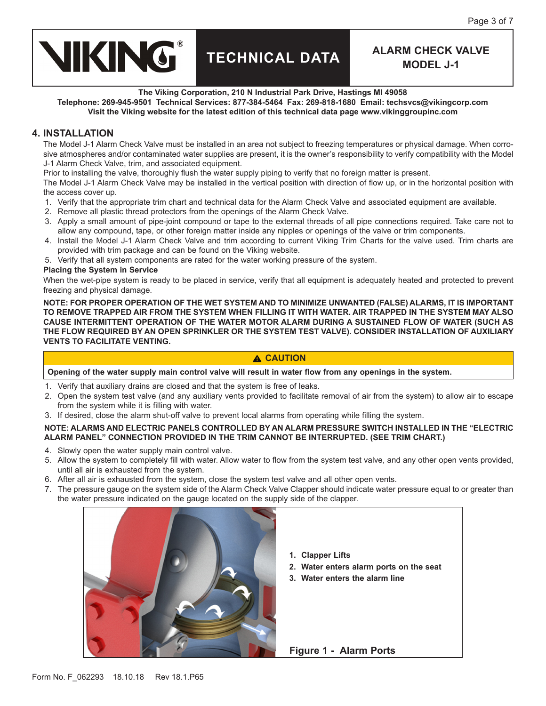

**The Viking Corporation, 210 N Industrial Park Drive, Hastings MI 49058**

**Telephone: 269-945-9501 Technical Services: 877-384-5464 Fax: 269-818-1680 Email: techsvcs@vikingcorp.com Visit the Viking website for the latest edition of this technical data page www.vikinggroupinc.com**

### **4. INSTALLATION**

The Model J-1 Alarm Check Valve must be installed in an area not subject to freezing temperatures or physical damage. When corrosive atmospheres and/or contaminated water supplies are present, it is the owner's responsibility to verify compatibility with the Model J-1 Alarm Check Valve, trim, and associated equipment.

Prior to installing the valve, thoroughly flush the water supply piping to verify that no foreign matter is present.

The Model J-1 Alarm Check Valve may be installed in the vertical position with direction of flow up, or in the horizontal position with the access cover up.

- 1. Verify that the appropriate trim chart and technical data for the Alarm Check Valve and associated equipment are available.
- 2. Remove all plastic thread protectors from the openings of the Alarm Check Valve.
- 3. Apply a small amount of pipe-joint compound or tape to the external threads of all pipe connections required. Take care not to allow any compound, tape, or other foreign matter inside any nipples or openings of the valve or trim components.
- 4. Install the Model J-1 Alarm Check Valve and trim according to current Viking Trim Charts for the valve used. Trim charts are provided with trim package and can be found on the Viking website.
- 5. Verify that all system components are rated for the water working pressure of the system.

#### **Placing the System in Service**

When the wet-pipe system is ready to be placed in service, verify that all equipment is adequately heated and protected to prevent freezing and physical damage.

**NOTE: FOR PROPER OPERATION OF THE WET SYSTEM AND TO MINIMIZE UNWANTED (FALSE) ALARMS, IT IS IMPORTANT TO REMOVE TRAPPED AIR FROM THE SYSTEM WHEN FILLING IT WITH WATER. AIR TRAPPED IN THE SYSTEM MAY ALSO CAUSE INTERMITTENT OPERATION OF THE WATER MOTOR ALARM DURING A SUSTAINED FLOW OF WATER (SUCH AS THE FLOW REQUIRED BY AN OPEN SPRINKLER OR THE SYSTEM TEST VALVE). CONSIDER INSTALLATION OF AUXILIARY VENTS TO FACILITATE VENTING.**

#### **CAUTION**

**Opening of the water supply main control valve will result in water flow from any openings in the system.**

- 1. Verify that auxiliary drains are closed and that the system is free of leaks.
- 2. Open the system test valve (and any auxiliary vents provided to facilitate removal of air from the system) to allow air to escape from the system while it is filling with water.
- 3. If desired, close the alarm shut-off valve to prevent local alarms from operating while filling the system.

#### **NOTE: ALARMS AND ELECTRIC PANELS CONTROLLED BY AN ALARM PRESSURE SWITCH INSTALLED IN THE "ELECTRIC ALARM PANEL" CONNECTION PROVIDED IN THE TRIM CANNOT BE INTERRUPTED. (SEE TRIM CHART.)**

- 4. Slowly open the water supply main control valve.
- 5. Allow the system to completely fill with water. Allow water to flow from the system test valve, and any other open vents provided, until all air is exhausted from the system.
- 6. After all air is exhausted from the system, close the system test valve and all other open vents.
- 7. The pressure gauge on the system side of the Alarm Check Valve Clapper should indicate water pressure equal to or greater than the water pressure indicated on the gauge located on the supply side of the clapper.



- **1. Clapper Lifts**
- **2. Water enters alarm ports on the seat**
- **3. Water enters the alarm line**

**Figure 1 - Alarm Ports**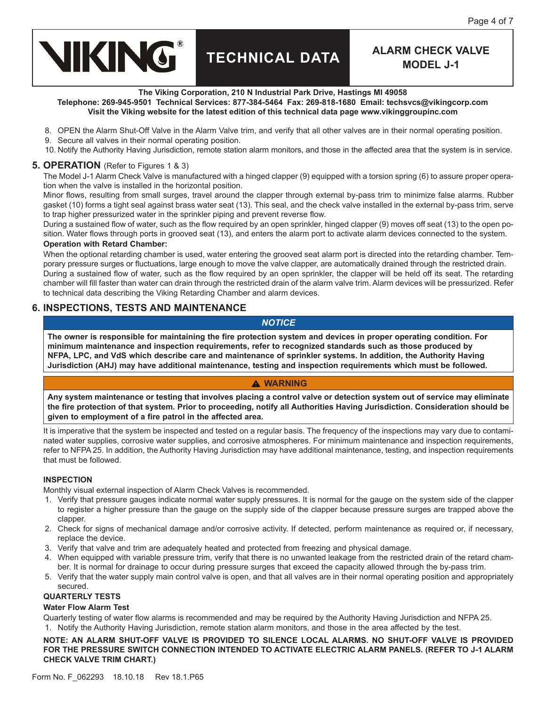

**The Viking Corporation, 210 N Industrial Park Drive, Hastings MI 49058**

**Telephone: 269-945-9501 Technical Services: 877-384-5464 Fax: 269-818-1680 Email: techsvcs@vikingcorp.com Visit the Viking website for the latest edition of this technical data page www.vikinggroupinc.com**

- 8. OPEN the Alarm Shut-Off Valve in the Alarm Valve trim, and verify that all other valves are in their normal operating position.
- 9. Secure all valves in their normal operating position.
- 10. Notify the Authority Having Jurisdiction, remote station alarm monitors, and those in the affected area that the system is in service.

#### **5. OPERATION** (Refer to Figures 1 & 3)

The Model J-1 Alarm Check Valve is manufactured with a hinged clapper (9) equipped with a torsion spring (6) to assure proper operation when the valve is installed in the horizontal position.

Minor flows, resulting from small surges, travel around the clapper through external by-pass trim to minimize false alarms. Rubber gasket (10) forms a tight seal against brass water seat (13). This seal, and the check valve installed in the external by-pass trim, serve to trap higher pressurized water in the sprinkler piping and prevent reverse flow.

During a sustained flow of water, such as the flow required by an open sprinkler, hinged clapper (9) moves off seat (13) to the open position. Water flows through ports in grooved seat (13), and enters the alarm port to activate alarm devices connected to the system.

#### **Operation with Retard Chamber:**

When the optional retarding chamber is used, water entering the grooved seat alarm port is directed into the retarding chamber. Temporary pressure surges or fluctuations, large enough to move the valve clapper, are automatically drained through the restricted drain. During a sustained flow of water, such as the flow required by an open sprinkler, the clapper will be held off its seat. The retarding chamber will fill faster than water can drain through the restricted drain of the alarm valve trim. Alarm devices will be pressurized. Refer to technical data describing the Viking Retarding Chamber and alarm devices.

## **6. INSPECTIONS, TESTS AND MAINTENANCE**

#### *NOTICE*

**The owner is responsible for maintaining the fire protection system and devices in proper operating condition. For minimum maintenance and inspection requirements, refer to recognized standards such as those produced by NFPA, LPC, and VdS which describe care and maintenance of sprinkler systems. In addition, the Authority Having Jurisdiction (AHJ) may have additional maintenance, testing and inspection requirements which must be followed.**

#### **WARNING**

**Any system maintenance or testing that involves placing a control valve or detection system out of service may eliminate the fire protection of that system. Prior to proceeding, notify all Authorities Having Jurisdiction. Consideration should be given to employment of a fire patrol in the affected area.**

It is imperative that the system be inspected and tested on a regular basis. The frequency of the inspections may vary due to contaminated water supplies, corrosive water supplies, and corrosive atmospheres. For minimum maintenance and inspection requirements, refer to NFPA 25. In addition, the Authority Having Jurisdiction may have additional maintenance, testing, and inspection requirements that must be followed.

#### **INSPECTION**

Monthly visual external inspection of Alarm Check Valves is recommended.

- 1. Verify that pressure gauges indicate normal water supply pressures. It is normal for the gauge on the system side of the clapper to register a higher pressure than the gauge on the supply side of the clapper because pressure surges are trapped above the clapper.
- 2. Check for signs of mechanical damage and/or corrosive activity. If detected, perform maintenance as required or, if necessary, replace the device.
- 3. Verify that valve and trim are adequately heated and protected from freezing and physical damage.
- 4. When equipped with variable pressure trim, verify that there is no unwanted leakage from the restricted drain of the retard chamber. It is normal for drainage to occur during pressure surges that exceed the capacity allowed through the by-pass trim.
- 5. Verify that the water supply main control valve is open, and that all valves are in their normal operating position and appropriately secured.

#### **QUARTERLY TESTS**

#### **Water Flow Alarm Test**

Quarterly testing of water flow alarms is recommended and may be required by the Authority Having Jurisdiction and NFPA 25.

1. Notify the Authority Having Jurisdiction, remote station alarm monitors, and those in the area affected by the test.

#### **NOTE: AN ALARM SHUT-OFF VALVE IS PROVIDED TO SILENCE LOCAL ALARMS. NO SHUT-OFF VALVE IS PROVIDED FOR THE PRESSURE SWITCH CONNECTION INTENDED TO ACTIVATE ELECTRIC ALARM PANELS. (REFER TO J-1 ALARM CHECK VALVE TRIM CHART.)**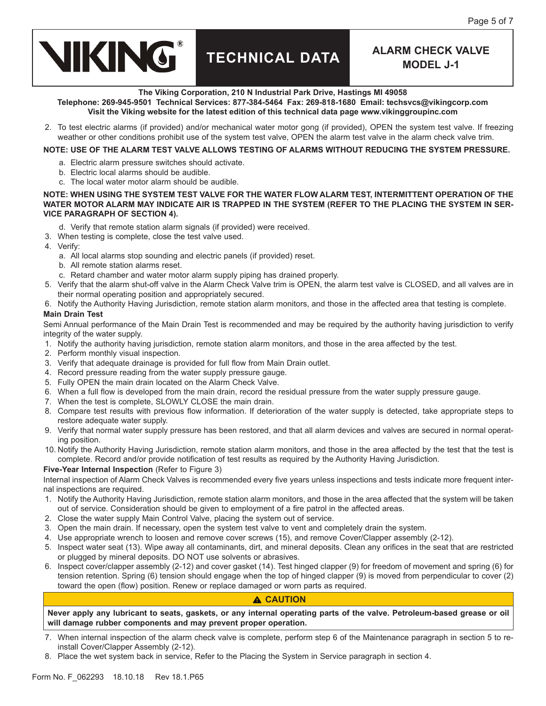

#### **The Viking Corporation, 210 N Industrial Park Drive, Hastings MI 49058**

**Telephone: 269-945-9501 Technical Services: 877-384-5464 Fax: 269-818-1680 Email: techsvcs@vikingcorp.com Visit the Viking website for the latest edition of this technical data page www.vikinggroupinc.com**

2. To test electric alarms (if provided) and/or mechanical water motor gong (if provided), OPEN the system test valve. If freezing weather or other conditions prohibit use of the system test valve, OPEN the alarm test valve in the alarm check valve trim.

#### **NOTE: USE OF THE ALARM TEST VALVE ALLOWS TESTING OF ALARMS WITHOUT REDUCING THE SYSTEM PRESSURE.**

- a. Electric alarm pressure switches should activate.
- b. Electric local alarms should be audible.
- c. The local water motor alarm should be audible.

#### **NOTE: WHEN USING THE SYSTEM TEST VALVE FOR THE WATER FLOW ALARM TEST, INTERMITTENT OPERATION OF THE WATER MOTOR ALARM MAY INDICATE AIR IS TRAPPED IN THE SYSTEM (REFER TO THE PLACING THE SYSTEM IN SER-VICE PARAGRAPH OF SECTION 4).**

- d. Verify that remote station alarm signals (if provided) were received.
- 3. When testing is complete, close the test valve used.
- 4. Verify:
	- a. All local alarms stop sounding and electric panels (if provided) reset.
	- b. All remote station alarms reset.
	- c. Retard chamber and water motor alarm supply piping has drained properly.
- 5. Verify that the alarm shut-off valve in the Alarm Check Valve trim is OPEN, the alarm test valve is CLOSED, and all valves are in their normal operating position and appropriately secured.
- 6. Notify the Authority Having Jurisdiction, remote station alarm monitors, and those in the affected area that testing is complete.

#### **Main Drain Test**

Semi Annual performance of the Main Drain Test is recommended and may be required by the authority having jurisdiction to verify integrity of the water supply.

- 1. Notify the authority having jurisdiction, remote station alarm monitors, and those in the area affected by the test.
- 2. Perform monthly visual inspection.
- 3. Verify that adequate drainage is provided for full flow from Main Drain outlet.
- 4. Record pressure reading from the water supply pressure gauge.
- 5. Fully OPEN the main drain located on the Alarm Check Valve.
- 6. When a full flow is developed from the main drain, record the residual pressure from the water supply pressure gauge.
- 7. When the test is complete, SLOWLY CLOSE the main drain.
- 8. Compare test results with previous flow information. If deterioration of the water supply is detected, take appropriate steps to restore adequate water supply.
- 9. Verify that normal water supply pressure has been restored, and that all alarm devices and valves are secured in normal operating position.
- 10. Notify the Authority Having Jurisdiction, remote station alarm monitors, and those in the area affected by the test that the test is complete. Record and/or provide notification of test results as required by the Authority Having Jurisdiction.

#### **Five-Year Internal Inspection** (Refer to Figure 3)

Internal inspection of Alarm Check Valves is recommended every five years unless inspections and tests indicate more frequent internal inspections are required.

- 1. Notify the Authority Having Jurisdiction, remote station alarm monitors, and those in the area affected that the system will be taken out of service. Consideration should be given to employment of a fire patrol in the affected areas.
- 2. Close the water supply Main Control Valve, placing the system out of service.
- 3. Open the main drain. If necessary, open the system test valve to vent and completely drain the system.
- 4. Use appropriate wrench to loosen and remove cover screws (15), and remove Cover/Clapper assembly (2-12).
- 5. Inspect water seat (13). Wipe away all contaminants, dirt, and mineral deposits. Clean any orifices in the seat that are restricted or plugged by mineral deposits. DO NOT use solvents or abrasives.
- 6. Inspect cover/clapper assembly (2-12) and cover gasket (14). Test hinged clapper (9) for freedom of movement and spring (6) for tension retention. Spring (6) tension should engage when the top of hinged clapper (9) is moved from perpendicular to cover (2) toward the open (flow) position. Renew or replace damaged or worn parts as required.

#### **CAUTION**

**Never apply any lubricant to seats, gaskets, or any internal operating parts of the valve. Petroleum-based grease or oil will damage rubber components and may prevent proper operation.**

- 7. When internal inspection of the alarm check valve is complete, perform step 6 of the Maintenance paragraph in section 5 to reinstall Cover/Clapper Assembly (2-12).
- 8. Place the wet system back in service, Refer to the Placing the System in Service paragraph in section 4.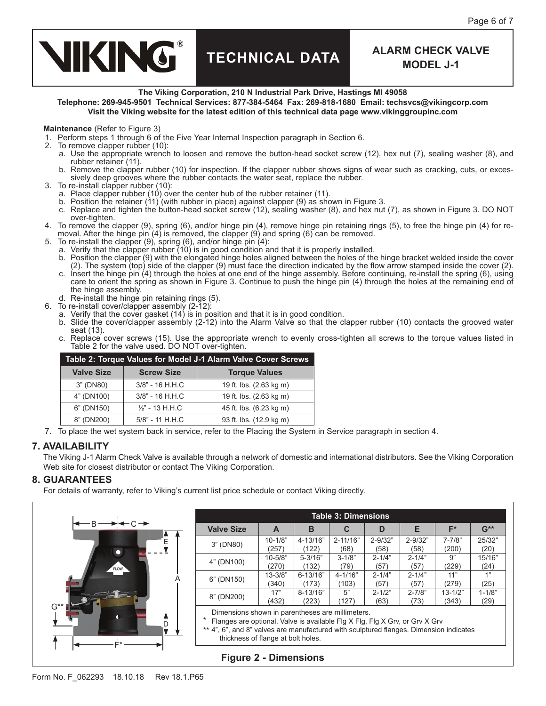

#### **The Viking Corporation, 210 N Industrial Park Drive, Hastings MI 49058**

**Telephone: 269-945-9501 Technical Services: 877-384-5464 Fax: 269-818-1680 Email: techsvcs@vikingcorp.com Visit the Viking website for the latest edition of this technical data page www.vikinggroupinc.com**

#### **Maintenance** (Refer to Figure 3)

1. Perform steps 1 through 6 of the Five Year Internal Inspection paragraph in Section 6.

- 2. To remove clapper rubber (10):
	- a. Use the appropriate wrench to loosen and remove the button-head socket screw (12), hex nut (7), sealing washer (8), and rubber retainer (11).
	- b. Remove the clapper rubber (10) for inspection. If the clapper rubber shows signs of wear such as cracking, cuts, or excessively deep grooves where the rubber contacts the water seat, replace the rubber.
- 3. To re-install clapper rubber (10):
	- a. Place clapper rubber (10) over the center hub of the rubber retainer (11).
	- b. Position the retainer  $(11)$  (with rubber in place) against clapper (9) as shown in Figure 3.
	- c. Replace and tighten the button-head socket screw (12), sealing washer (8), and hex nut (7), as shown in Figure 3. DO NOT over-tighten.
- 4. To remove the clapper (9), spring (6), and/or hinge pin (4), remove hinge pin retaining rings (5), to free the hinge pin (4) for removal. After the hinge pin (4) is removed, the clapper (9) and spring (6) can be removed.
- 5. To re-install the clapper (9), spring (6), and/or hinge pin (4):
	- a. Verify that the clapper rubber (10) is in good condition and that it is properly installed.
	- b. Position the clapper (9) with the elongated hinge holes aligned between the holes of the hinge bracket welded inside the cover (2). The system (top) side of the clapper (9) must face the direction indicated by the flow arrow stamped inside the cover (2).
	- c. Insert the hinge pin (4) through the holes at one end of the hinge assembly. Before continuing, re-install the spring (6), using care to orient the spring as shown in Figure 3. Continue to push the hinge pin (4) through the holes at the remaining end of the hinge assembly.
	- d. Re-install the hinge pin retaining rings (5).
- 6. To re-install cover/clapper assembly (2-12):
	- a. Verify that the cover gasket (14) is in position and that it is in good condition.
	- b. Slide the cover/clapper assembly (2-12) into the Alarm Valve so that the clapper rubber (10) contacts the grooved water seat (13).
	- c. Replace cover screws (15). Use the appropriate wrench to evenly cross-tighten all screws to the torque values listed in Table 2 for the valve used. DO NOT over-tighten.

| Table 2: Torque Values for Model J-1 Alarm Valve Cover Screws |                          |                         |  |  |  |  |
|---------------------------------------------------------------|--------------------------|-------------------------|--|--|--|--|
| <b>Valve Size</b>                                             | <b>Screw Size</b>        | <b>Torque Values</b>    |  |  |  |  |
| 3" (DN80)                                                     | $3/8"$ - 16 H.H.C        | 19 ft. lbs. (2.63 kg m) |  |  |  |  |
| 4" (DN100)                                                    | 3/8" - 16 H.H.C          | 19 ft. lbs. (2.63 kg m) |  |  |  |  |
| 6" (DN150)                                                    | $\frac{1}{2}$ - 13 H.H.C | 45 ft. lbs. (6.23 kg m) |  |  |  |  |
| 8" (DN200)                                                    | 5/8" - 11 H.H.C          | 93 ft. lbs. (12.9 kg m) |  |  |  |  |

7. To place the wet system back in service, refer to the Placing the System in Service paragraph in section 4.

#### **7. AVAILABILITY**

The Viking J-1 Alarm Check Valve is available through a network of domestic and international distributors. See the Viking Corporation Web site for closest distributor or contact The Viking Corporation.

#### **8. GUARANTEES**

For details of warranty, refer to Viking's current list price schedule or contact Viking directly.



| <b>Table 3: Dimensions</b>                                                                                                                                                                                                                                      |             |              |              |             |             |             |            |  |
|-----------------------------------------------------------------------------------------------------------------------------------------------------------------------------------------------------------------------------------------------------------------|-------------|--------------|--------------|-------------|-------------|-------------|------------|--|
| <b>Valve Size</b>                                                                                                                                                                                                                                               | A           | в            | C            | D           | Е           | F*          | $G^{**}$   |  |
| 3" (DN80)                                                                                                                                                                                                                                                       | $10 - 1/8"$ | $4 - 13/16"$ | $2 - 11/16"$ | $2 - 9/32"$ | $2 - 9/32"$ | $7 - 7/8"$  | 25/32"     |  |
|                                                                                                                                                                                                                                                                 | (257)       | (122)        | (68)         | (58)        | (58)        | (200)       | (20)       |  |
| 4" (DN100)                                                                                                                                                                                                                                                      | $10 - 5/8"$ | $5 - 3/16"$  | $3 - 1/8"$   | $2 - 1/4"$  | $2 - 1/4"$  | 9"          | 15/16"     |  |
|                                                                                                                                                                                                                                                                 | (270)       | (132)        | (79)         | (57)        | (57)        | (229)       | (24)       |  |
| 6" (DN150)                                                                                                                                                                                                                                                      | $13 - 3/8"$ | $6 - 13/16"$ | $4 - 1/16"$  | $2 - 1/4"$  | $2 - 1/4"$  | 11"         | 1"         |  |
|                                                                                                                                                                                                                                                                 | (340)       | (173)        | (103)        | (57)        | (57)        | (279)       | (25)       |  |
| 8" (DN200)                                                                                                                                                                                                                                                      | 17"         | $8 - 13/16"$ | 5"           | $2 - 1/2"$  | $2 - 7/8"$  | $13 - 1/2"$ | $1 - 1/8"$ |  |
|                                                                                                                                                                                                                                                                 | (432)       | (223)        | (127)        | (63)        | (73)        | (343)       | (29)       |  |
| Dimensions shown in parentheses are millimeters.<br>Flanges are optional. Valve is available Flg X Flg, Flg X Grv, or Grv X Grv<br>** 4", 6", and 8" valves are manufactured with sculptured flanges. Dimension indicates<br>thickness of flange at bolt holes. |             |              |              |             |             |             |            |  |

### **Figure 2 - Dimensions**